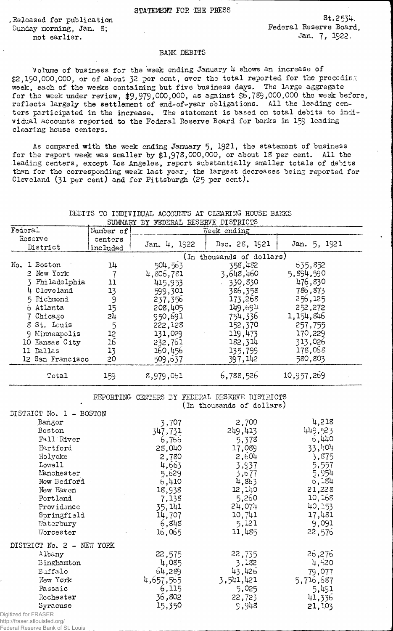STATEMENT FOR THE PRESS

Sunday morning, Jan. 8;<br>mot earlier. The state of the state of the state of the state of the state of the state of the state of the state of the state of the state of the state of the state of the state of the state of the not earlier.

Released for publication St.2534.<br>Sunday morning Jan. 8: Sunday Pederal Reserve Board,

## BANK DEBITS

Volume of business for the week ending January 4 shows an increase of \$2,190,000,000, or of about 32 per cent, over the total reported for the preceding week, each of the weeks containing but five business days. The large aggregate for the week under review,  $$9,979,000,000$ , as against  $$6,789,000,000$  the week before, reflects largely the settlement of end-of-year obligations. All the leading centers participated in the increase. The statement is based on total debits to individual accounts reported to the Federal Reserve Board for banks in 159 leading clearing house centers.

As compared with the week ending January 5, 1921, the statement of business for the report week was smaller by  $$1,978,000,000$ , or about 18 per cent. All the leading centers, except Los Angeles, report substantially smaller totals of debits than for the corresponding week last year, the largest decreases being reported for Cleveland (31 per cent) and for Pittsburgh (25 per cent).

## DEBITS TO INDIVIDUAL ACCOUNTS AT CLEARING HOUSE BANKS SUMMARY THE SUPERTAL RESERVE DISTRICTS

| DOMMARI DI PEDETAL REDERVE DIDIRICID |                  |           |                           |               |              |  |
|--------------------------------------|------------------|-----------|---------------------------|---------------|--------------|--|
| $\texttt{Federal}$                   |                  | Number of | Week ending               |               |              |  |
| Reserve                              |                  | centers   | Jan. 4, 1922              | Dec. 28, 1921 | Jan. 5, 1921 |  |
|                                      | District         | included  |                           |               |              |  |
|                                      |                  |           | (In thousands of dollars) |               |              |  |
| No.                                  | 1 Boston         | 14        | 504,563                   | 358,482       | 535,852      |  |
|                                      | 2 New York       |           | 4,806,781                 | 3,648,460     | 5,894,590    |  |
|                                      | Philadelphia     | 11        | 415,953                   | 330,830       | 476,830      |  |
|                                      | 4 Cleveland      | 13        | 599,301                   | 386,358       | 786,873      |  |
|                                      | 5 Richmond       | 9         | 237,356                   | 173,268       | 256,125      |  |
|                                      | 6 Atlanta        | 15        | 208,405                   | 149,694       | 252,272      |  |
|                                      | 7 Chicago        | 24        | 950,691                   | 754,336       | 1,154,846    |  |
|                                      | 8 St. Louis      | 5         | 222,128                   | 152,370       | 257,755      |  |
|                                      | 9 Minneapolis    | 12        | 131,029                   | 119,473       | 170,229      |  |
|                                      | 10 Kansas City   | 16        | 232,761                   | 182,314       | 313,026      |  |
|                                      | ll Dallas        | 13        | 160,456                   | 135,799       | 178,068      |  |
|                                      | 12 San Francisco | 20        | 509,637                   | 397,142       | 580,803      |  |
|                                      | Total            | 159       | 8,979,061                 | 6,788,526     | 10,957,269   |  |

## REPORTING CENTERS BY FEDERAL RESERVE DISTRICTS (In thousands of dollars)

| DISTRICT No. 1 - BOSTON   |           |           |           |
|---------------------------|-----------|-----------|-----------|
| Bangor                    | 3,707     | 2,700     | 4,218     |
| Boston                    | 347,731   | 249,413   | 449,523   |
| Fall River                | 6,766     | 5,378     | 6,440     |
| Hartford                  | 28,040    | 17,089    | 33,404    |
| Holyoke                   | 2,780     | 2,604     | 3,875     |
| Lowell                    | 4,663     | 3,937     | 5,557     |
| Manchester                | 5,629     | 3,677     | 5,954     |
| New Bedford               | 6,410     | 4,863     | 6,184     |
| New Haven                 | 18,938    | 12,140    | 21,228    |
| Portland                  | 7,138     | 5,260     | 10,168    |
| Providence                | 35,141    | 24,074    | 40,153    |
| Springfield               | 14,707    | 10,741    | 17,481    |
| Waterbury                 | 6,848     | 5,121     | 9,091     |
| Worcester                 | 16,065    | 11,485    | 22,576    |
| DISTRICT No. 2 - NEW YORK |           |           |           |
| Albany                    | 22,575    | 22,735    | 26,276    |
| Binghamton                | 4,085     | 3,182     | 4,520     |
| Buffalo                   | 64,289    | 43,426    | 79,077    |
| New York                  | 4,657,555 | 3,541,421 | 5,716,687 |
| Passaic                   | 6,115     | 5,025     | 5,491     |
| Rochester                 | 36,802    | 22,723    | 41,336    |
| Syracuse                  | 15,350    | 9,948     | 21,103    |
| Digitized for FRASER      |           |           |           |

http://fraser.stlouisfed.org/ Federal Reserve Bank of St. Louis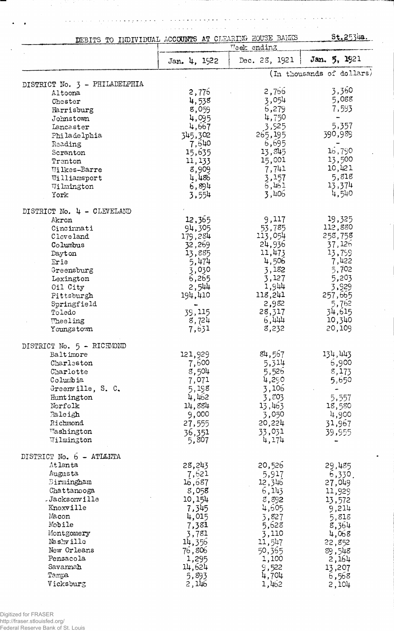وخاوجه وحاجب بالبريا  $\hat{A}$  is a set of  $\hat{A}$  , where  $\hat{A}$  $\alpha$  is a second order.

 $\sim$ 

 $\sim$  100  $\sim$ 

 $\omega_{\rm{eff}}$ 

 $\mathbb{Z}^{\mathbb{Z}}$  .

l.  $\omega$  .  $\ddot{\phantom{a}}$   $\sim$ 

 $\omega$  ,  $\omega$  ,  $\omega$  ,  $\omega$  ,  $\omega$ 

| DEBITS TO INDIVIDUAL ACCOUNTS AT CLEARING HOUSE BARKS |                | \$t.2534a.                   |                           |
|-------------------------------------------------------|----------------|------------------------------|---------------------------|
|                                                       | Jan. 4, 1922   | Week ending<br>Dec. 23, 1921 | Jan. 5, 1921              |
|                                                       |                |                              | (In thousands of dollars) |
| DISTRICT No. 3 - PHILADELPHIA                         | 2,775          | 2,756                        | 3,360                     |
| Altoona<br>Chester                                    | 4,538          | 3,054                        | 5,088                     |
| Harrisburg                                            | 8,059          | 6,279                        | 7,593                     |
| Johnstown                                             | 4,095          | 4,750                        |                           |
| Lancaster                                             | 4,667          | 3,525                        | 5,357                     |
| Philadelphia                                          | 345,302        | 265,195                      | 390,989                   |
| Reading                                               | 7,640          | 6,695                        |                           |
| Scranton                                              | 15,635         | 13,845                       | 16,790                    |
| Trenton                                               | 11, 133        | 15,001                       | 13,500                    |
| Wilkes-Barre                                          | 8,909          | 7,741                        | 10,421                    |
| Williamsport                                          | 4,486          | 3,157                        | 5,818                     |
| Wilmington                                            | 6,894          | 6,461                        | 13,374                    |
| York                                                  | 3,554          | 3,406                        | 4,540                     |
| DISTRICT No. 4 - CLEVELAND                            |                |                              |                           |
| Akron                                                 | 12,365         | 9,117                        | 19,325                    |
| Cincinnati                                            | 94,305         | 53,785                       | 112,880                   |
| Cleveland                                             | 179,284        | 113,054                      | 258,758                   |
| Columbus                                              | 32,269         | 24,936                       | 37,126                    |
| Dayton                                                | 13,885         | 11,473                       | 13,799                    |
| Erie                                                  | 5,474          | 4,506                        | 7,422                     |
| Greensburg                                            | 3,030          | 3,182                        | 5,702                     |
| Lexington                                             | 6,265          | 3,127                        | 5,203                     |
| Oil City                                              | 2,544          | 1,944                        | 3,929                     |
| Pittsburgh                                            | 194,410        | 118,241                      | 257,665                   |
| Springfield                                           |                | 2,982                        | 5,762                     |
| Toledo                                                | 39,115         | 28,317                       | 34,615                    |
| Theeling<br>Youngstown                                | 8,724<br>7,631 | 6,444<br>8,232               | 10,340<br>20,109          |
|                                                       |                |                              |                           |
| DISTRICT No. 5 - RICHMOND                             |                |                              |                           |
| Baltimore                                             | 121,929        | 84,567                       | 134,443                   |
| Charleston                                            | 7,600          | 5,314                        | 6,900                     |
| Charlotte<br>Columbia                                 | 8,504          | 5,526                        | 8,173                     |
| Greenville, S. C.                                     | 7,071<br>5,198 | 4,290<br>3,106               | 5,650                     |
| Hunt ington                                           | 4,462          | 3,803                        | 5,557                     |
| Norfolk                                               | 14,884         | 13,463                       | 18,580                    |
| Raleigh                                               | 9,000          | 3,050                        | 4,900                     |
| Richmond                                              | 27,555         | 20,224                       | 31,967                    |
| Washington                                            | 36,351         | 33,031                       | 39,955                    |
| Wilmington                                            | 5,807          | 4,174                        |                           |
| DISTRICT No. 6 - ATLANTA                              |                |                              |                           |
| Atlanta                                               | 28,243         | 20,526                       | 29,485                    |
| Augusta                                               | 7,621          | 5,917                        | 6,330.                    |
| Birmingham                                            | 16,687         | 12,346                       | 27,049                    |
| Chattanooga                                           | 8,058          | 6, 143                       | 11,929                    |
| -Jacksonville                                         | 10,154         | 8,892                        | 13,572                    |
| Knoxville                                             | 7,345          | 4,605                        | 9,214                     |
| Macon                                                 | 4,015          | 3,827                        | 5,818                     |
| Mobile                                                | 7,381          | 5,628                        | 8,364                     |
| Montgomery                                            | 3,781          | 3,110                        | 4,068                     |
| Nashville                                             | 14,356         | 11,547                       | 22,852                    |
| New Orleans                                           | 76,806         | 50,365                       | 89,548                    |
| Pensacola                                             | 1,295          | 1,100                        | 2,164                     |
| Savannah                                              | 14,624         | 9,522                        | 13,207                    |
| Tampa                                                 | 5,893          | 4,704                        | 6,568                     |
| Vicksburg                                             | 2,146          | 1,462                        | 2,104                     |

 $\bar{z}$ 

 $\omega$   $\omega$   $\omega$ 

 $\mathcal{L}_{\rm{in}}$ 

 $\ddot{\phantom{a}}$ 

 $\bar{\phantom{a}}$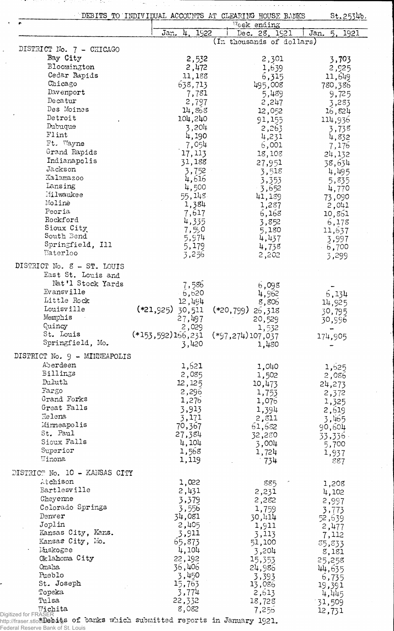| DEBITS TO INDIVIDUAL ACCOUNTS AT CLEARING HOUSE BANKS |  |  |
|-------------------------------------------------------|--|--|

 $\bar{z}$ - 67  $\sim 0.05$ 

ù,  $\overline{a}$ 

St.2534b.

|                               |                                    | Week ending               |                    |
|-------------------------------|------------------------------------|---------------------------|--------------------|
|                               | Jan. 4, 1922                       | Dec. 28, 1921             | Jan.<br>5.<br>1921 |
|                               |                                    | (In thousands of dollars) |                    |
| DISTRICT No. 7 - CHICAGO      |                                    |                           |                    |
| Bay City                      | 2,532                              | 2,301                     | 3,703              |
| Bloomington                   | 2,472                              | 1,639                     | 2,925              |
| Cedar Rapids                  | 11,188                             | 6,315                     | 11,649             |
| Chicago                       | 638,713                            | 495,008                   | 780,386            |
| Davenport                     | 7,781                              | 5,489                     | 9,725              |
| Decatur                       | 2,797                              | 2,247                     | 3,283              |
| Des Moines                    | 14,868                             | 12,052                    | 16,824             |
| Detroit                       | 104,240                            | 91,155                    | 114,936            |
| Dubuque                       | 3,204                              | 2,263                     | 3,738              |
| Flint                         | 4,190                              | 4,231                     | 4,832              |
| Ft. Wayne                     | 7,054                              | 6,001                     | 7,176              |
| Grand Rapids                  | 17, 113                            | 18,108                    | 24,132             |
| Indianapolis                  | 31,188                             | 27,951                    | 38,634             |
| Jackson                       | 3,752                              | 3,518                     | 4,495              |
| Kalamazoo                     | 4,616                              | 3,353                     | 5,835              |
| Iansing                       | 4,500                              | 3,652                     | 4,770              |
| Milwaukee                     | 55,148                             | 41,189                    | 73,090             |
| Molinė                        | 1,384                              | 1,287                     | 2,041              |
| Peoria                        | 7,617                              | 6,168                     | 10,861             |
| Rockford                      | 4,335                              | 3,852                     | 6,178              |
| Sioux City                    | 7,590                              | 5,180                     | 11,637             |
| South Bend                    | 5,974                              | 4,437                     | 3,997              |
| Springfield, Ill              | 5,179                              | 4,738                     | $-6,700$           |
| Waterloo                      | 3,256                              | 2,202                     | 3,299              |
| DISTRICT No. 8 - ST. LOUIS    |                                    |                           |                    |
| East St. Louis and            |                                    |                           |                    |
| Nat'l Stock Yards             | 7,586                              | 6,098                     |                    |
| Evansville                    | 6,620                              | 4,962                     | 6,134              |
| Little Rock                   | 12,494                             | 8,806                     | 14,925             |
| Louisville                    | $(*21,925)$ 30,511                 | $(*20,799)$ 26,318        | 30,795             |
| Memphis                       | 27,497                             | 20,529                    | 30,996             |
| Quincy                        | 2,029                              | 1,532                     |                    |
| St. Louis                     | (*153,592)166,231 (*97,274)107,037 |                           | 174,905            |
| Springfield, Mo.              | 3,420                              | 1,480                     |                    |
| DISTRICT No. 9 - MINNEAPOLIS  |                                    |                           |                    |
| Aberdeen                      |                                    |                           |                    |
|                               | 1,621                              | 1,040                     | 1,625              |
| Billings<br>Duluth            | 2,085                              | 1,502                     | 2,086              |
|                               | 12,125                             | 10,473                    | 24,273             |
| Fargo                         | 2,296                              | 1,753                     | 2,372              |
| Grand Forks                   | 1,276                              | 1,075                     | 1,325              |
| Great Falls                   | 3,913                              | 1,394                     | 2,619              |
| Helena                        | 3,171                              | 2,811                     | 3,465              |
| Minneapolis                   | 70,367                             | 61,682                    | 90,604             |
| St. Paul                      | 27,384                             | 32,280                    | $33,336$ .         |
| Sioux Falls                   | 4,104                              | 3,004                     | 5,700              |
| Superior<br>Winona            | 1,568                              | 1,724                     | 1,937              |
|                               | 1,119                              | $-734$                    | 887                |
| DISTRICT No. 10 - KANSAS CITY |                                    |                           |                    |
| Atchison                      | 1,022                              | 885                       | 1,208              |
| Bartlesville                  | 2,431                              | 2,231                     | 4,102              |
| Cheyenne                      | 3,379                              | 2,282                     | 2,997              |
| Colorado Springs              | 3,556                              | 1,759                     | 3,773              |
| Denver                        | 34,081                             | 30,414                    | 52,639             |
| Joplin                        | 2,405                              | 1,911                     | 2,477              |
| Kansas City, Kans.            | 3,911                              | 3,113                     | 7,112              |
| Kansas City, Mo.              | 65,873                             | 51,100                    | 35,833             |
| Muskogee                      | 4,104                              | 3,204                     | 8,181              |
| Oklahoma City                 | 22, 192                            | 15,353                    | 25,258             |
| Omaha                         | 36,406                             | 24,986                    | 44,635             |
|                               |                                    |                           |                    |
|                               |                                    |                           |                    |
| Pueblo                        | 3,450                              | 3,393                     | 6,735              |
| St. Joseph                    | 15,763                             | 13,086                    | 19,391             |
| Topeka<br>Tulsa               | 3,774<br>22,332                    | 2,613<br>18,728           | 4,445<br>31,509    |

Federal Reserve Bank of St. Louis